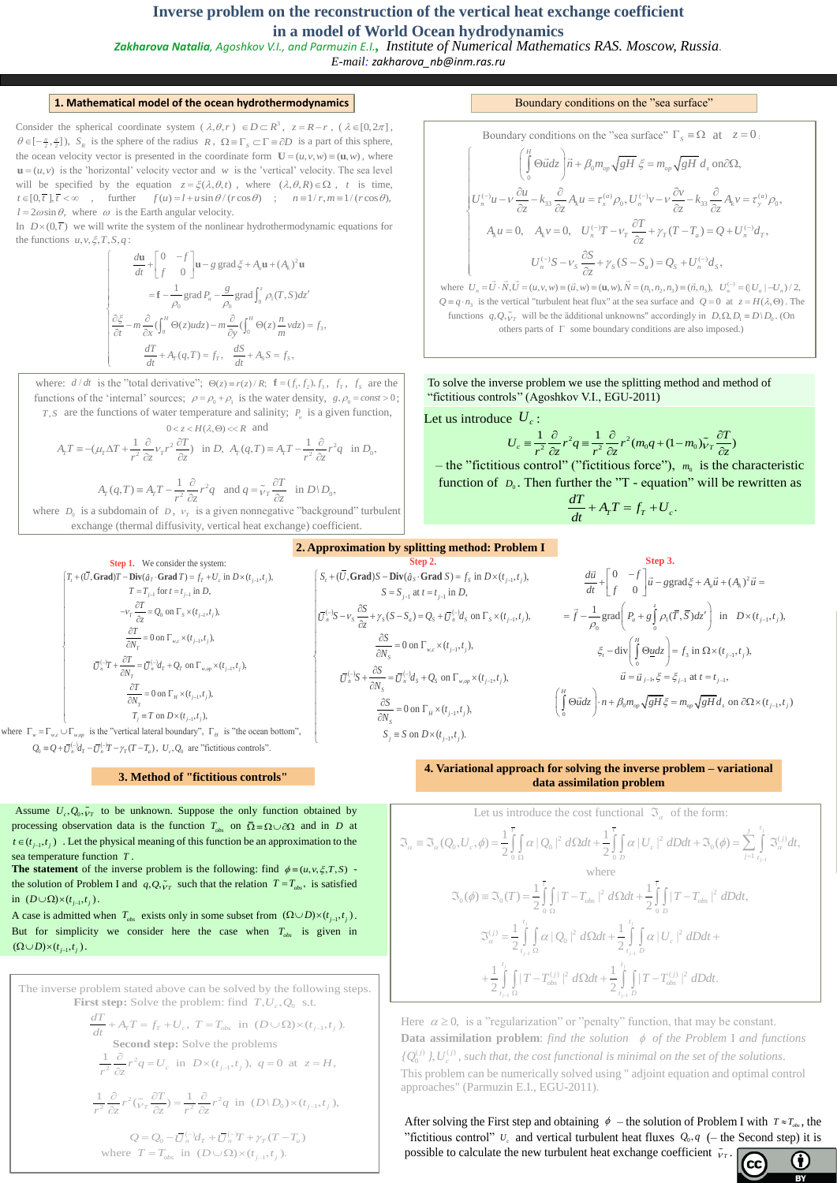# **Inverse problem on the reconstruction of the vertical heat exchange coefficient in a model of World Ocean hydrodynamics**

*Zakharova Natalia, Agoshkov V.I., and Parmuzin E.I., Institute of Numerical Mathematics RAS. Moscow, Russia. E-mail: zakharova\_nb@inm.ras.ru*

#### **1. Mathematical model of the ocean hydrothermodynamics Example 3** Boundary conditions on the "sea surface"

Consider the spherical coordinate system  $(\lambda, \theta, r) \in D \subset \mathbb{R}^3$ ,  $z = R - r$ ,  $(\lambda \in [0, 2\pi]$ ,  $\theta \in [-\frac{\pi}{2}, \frac{\pi}{2}]$ ),  $S_R$  is the sphere of the radius  $R$ ,  $\Omega \equiv \Gamma_S \subset \Gamma \equiv \partial D$  is a part of this sphere, the ocean velocity vector is presented in the coordinate form  $\mathbf{U} = (u, v, w) = (\mathbf{u}, w)$ , where  $\mathbf{u} = (u, v)$  is the 'horizontal' velocity vector and *w* is the 'vertical' velocity. The sea level will be specified by the equation  $z = \xi(\lambda, \theta, t)$ , where  $(\lambda, \theta, R) \in \Omega$ , *t* is time, the ocean velocity vector is presented in the coordinate form  $\mathbf{U} = (u, v, w) \equiv (\mathbf{u}, w)$ , where  $\mathbf{u} = (u, v)$  is the 'horizontal' velocity vector and w is the 'vertical' velocity. The sea level will be specified by the e  $l = 2\omega \sin \theta$ , where  $\omega$  is the Earth angular velocity.

In  $D\times (0,\overline{t})$  we will write the system of the nonlinear hydrothermodynamic equations for the functions  $u, v, \xi, T, S, q$ :

 $\frac{1}{2}$ 

 $\frac{1}{2}$  $\left\{ \right.$ 

 $\frac{1}{2}$ 

 $\overline{\mathcal{L}}$ 

$$
\int_{0}^{T} S_{1}g
$$
\n
$$
\int_{0}^{T} \frac{du}{dt} + \int_{0}^{T} \frac{1}{\int_{0}^{T}} \frac{1}{\int_{0}^{T}} \frac{1}{\int_{0}^{T}} \frac{1}{\int_{0}^{T}} \frac{1}{\int_{0}^{T}} \frac{1}{\int_{0}^{T}} \frac{1}{\int_{0}^{T}} \frac{1}{\int_{0}^{T}} \frac{1}{\int_{0}^{T}} \frac{1}{\int_{0}^{T}} \frac{1}{\int_{0}^{T}} \frac{1}{\int_{0}^{T}} \frac{1}{\int_{0}^{T}} \frac{1}{\int_{0}^{T}} \frac{1}{\int_{0}^{T}} \frac{1}{\int_{0}^{T}} \frac{1}{\int_{0}^{T}} \frac{1}{\int_{0}^{T}} \frac{1}{\int_{0}^{T}} \frac{1}{\int_{0}^{T}} \frac{1}{\int_{0}^{T}} \frac{1}{\int_{0}^{T}} \frac{1}{\int_{0}^{T}} \frac{1}{\int_{0}^{T}} \frac{1}{\int_{0}^{T}} \frac{1}{\int_{0}^{T}} \frac{1}{\int_{0}^{T}} \frac{1}{\int_{0}^{T}} \frac{1}{\int_{0}^{T}} \frac{1}{\int_{0}^{T}} \frac{1}{\int_{0}^{T}} \frac{1}{\int_{0}^{T}} \frac{1}{\int_{0}^{T}} \frac{1}{\int_{0}^{T}} \frac{1}{\int_{0}^{T}} \frac{1}{\int_{0}^{T}} \frac{1}{\int_{0}^{T}} \frac{1}{\int_{0}^{T}} \frac{1}{\int_{0}^{T}} \frac{1}{\int_{0}^{T}} \frac{1}{\int_{0}^{T}} \frac{1}{\int_{0}^{T}} \frac{1}{\int_{0}^{T}} \frac{1}{\int_{0}^{T}} \frac{1}{\int_{0}^{T}} \frac{1}{\int_{0}^{T}} \frac{1}{\int_{0}^{T}} \frac{1}{\int_{0}^{T}} \frac{1}{\int_{0}^{T}} \frac{1}{\int_{0}^{T}} \frac{1}{\int_{0}^{T}} \frac{1}{\int_{0}^{T}} \frac{1}{\int_{0}^{T}} \frac{1}{\int_{0}^{T}} \frac{1}{\int_{0}^{T
$$

where:  $d/dt$  is the "total derivative";  $\Theta(z) \equiv r(z)/R$ ;  $\mathbf{f} = (f_1, f_2), f_3, f_r, f_s$  are the functions of the 'internal' sources;  $\rho = \rho_0 + \rho_1$  is the water density,  $g, \rho_0 = const > 0$ ; *T*, *S* are the functions of water temperature and salinity;  $P_a$  is a given function,

S are the functions of water temperature and salinity; 
$$
P_a
$$
 is a given function,  
\n
$$
0 < z < H(\lambda, \Theta) < R
$$
 and  
\n
$$
A_T T \equiv -(\mu_T \Delta T + \frac{1}{r^2} \frac{\partial}{\partial z} v_T r^2 \frac{\partial T}{\partial z}) \text{ in } D, A_T(q, T) \equiv A_T T - \frac{1}{r^2} \frac{\partial}{\partial z} r^2 q \text{ in } D_0,
$$

$$
r^2 \frac{\partial z}{\partial z} + \frac{1}{r^2} \frac{\partial z}{\partial z} + \frac{1}{r^2} \frac{\partial z}{\partial z}
$$
  
\n
$$
A_T(q, T) \equiv A_T T - \frac{1}{r^2} \frac{\partial}{\partial z} r^2 q \text{ and } q = \tilde{v}_T \frac{\partial T}{\partial z} \text{ in } D \setminus D_0,
$$
  
\nwhere  $D_0$  is a subdomain of  $D$ ,  $v_T$  is a given nonnegative "background" turbulent

exchange (thermal diffusivity, vertical heat exchange) coefficient.

$$
r^2 \partial z
$$
  $r^2 \partial z$   $r^2 \partial z$   $\partial z$ 

 $-$  the "fictitious control" ("fictitious force"),  $m_0$  is the characteristic function of  $D_0$ . Then further the "T - equation" will be rewritten as

To solve the inverse problem we use the splitting method and method of "fictitious controls" (Agoshkov V.I., EGU-2011)

Let us introduce  $U_c$ :

The inverse problem stated above can be solved by the following steps. **First step:** Solve the problem: find  $T, U_c, Q_0$  s.t.

Boundary conditions on the "sea surface" 
$$
\Gamma_s \equiv \Omega
$$
 at  $z = 0$ .  
\n
$$
\begin{cases}\n\int_{0}^{H} \Theta \vec{u} dz \\
0\n\end{cases}\n\vec{n} + \beta_0 m_{op} \sqrt{gH} \xi = m_{op} \sqrt{gH} d_s \text{ on } \partial \Omega,
$$
\n
$$
U_n^{(-)}u - V \frac{\partial u}{\partial z} - k_{33} \frac{\partial}{\partial z} A_k u = \tau_x^{(a)} \rho_0, U_n^{(-)}v - V \frac{\partial v}{\partial z} - k_{33} \frac{\partial}{\partial z} A_k v = \tau_y^{(a)} \rho_0,
$$
\n
$$
A_k u = 0, \quad A_k v = 0, \quad U_n^{(-)}T - V_T \frac{\partial T}{\partial z} + \gamma_T (T - T_a) = Q + U_n^{(-)} d_T,
$$
\n
$$
U_n^{(-)}S - V_S \frac{\partial S}{\partial z} + \gamma_S (S - S_a) = Q_S + U_n^{(-)} d_S,
$$
\nwhere  $U_n = \vec{U} \cdot \vec{N}, \vec{U} = (u, v, w) = (\vec{u}, w) = (\mathbf{u}, w), \vec{N} = (n_1, n_2, n_3) = (\vec{n}, n_3), \quad U_n^{(-)} = (|U_n| - U_n)/2,$ \n
$$
Q = q \cdot n_3 \text{ is the vertical "turbulent heat flux" at the sea surface and } Q = 0 \text{ at } z = H(\lambda, \Theta). \text{ The functions } q, Q, \vec{v}_T \text{ will be the additional unknowns" accordingly in } D, \Omega, D_1 = D \setminus D_0. \text{ (On others parts of } \Gamma \text{ some boundary conditions are also imposed.)}
$$

1 st step: Solve the problem: find  $T, U_c, Q_0$  s.t.<br>  $\frac{dT}{dt} + A_T T = f_T + U_c$ ,  $T = T_{obs}$  in  $(D \cup \Omega) \times (t_{j-1}, t_j)$ .

2  $\frac{1}{2}$   $\frac{1}{2}$   $\frac{1}{2}$   $\frac{1}{2}$   $\frac{1}{2}$   $\frac{1}{2}$   $\frac{1}{2}$   $\frac{1}{2}$   $\frac{1}{2}$   $\frac{1}{2}$   $\frac{1}{2}$   $\frac{1}{2}$   $\frac{1}{2}$   $\frac{1}{2}$   $\frac{1}{2}$   $\frac{1}{2}$   $\frac{1}{2}$   $\frac{1}{2}$   $\frac{1}{2}$   $\frac{1}{2}$   $\frac{1}{2}$   $\frac{1}{2}$  1 in the problems<br>  $r^2 q = U_c$  in  $D \times (t_{j-1}, t_j)$ ,  $q = 0$  at  $z = H$ **Se**<br> $\frac{1}{r^2} \frac{\partial}{\partial z}$  $\overline{a}$  $\partial$ 

e 
$$
U_c
$$
:  
\n
$$
U_c \equiv \frac{1}{r^2} \frac{\partial}{\partial z} r^2 q \equiv \frac{1}{r^2} \frac{\partial}{\partial z} r^2 (m_0 q + (1 - m_0) \tilde{v}_T \frac{\partial T}{\partial z})
$$

$$
\frac{dT}{dt} + A_T T = f_T + U_c.
$$

Here  $\alpha \ge 0$ , is a "regularization" or "penalty" function, that may be constant. **Data assimilation problem**: *find the solution*  $\phi$  *of the Problem* I *and functions*  $(j)$   $\gamma$   $\tau$  $\tau$  $(j)$  $\overline{0}$ *j*)  $\overline{I}$   $\overline{I}$   $\overline{I}$   $\overline{I}$   $\overline{I}$  ${Q_0^{(j)}}, U_c^{(j)}$ , such that, the cost functional is minimal on the set of the solutions. This problem can be numerically solved using " adjoint equation and optimal control approaches" (Parmuzin E.I., EGU-2011).

After solving the First step and obtaining  $\phi$  – the solution of Problem I with  $T \approx T_{obs}$ , the "fictitious control"  $U_c$  and vertical turbulent heat fluxes  $Q_0, q$  (- the Second step) it is possible to calculate the new turbulent heat exchange coefficient  $\tilde{v}_T$ .

#### **2. Approximation by splitting method: Problem I**

Assume  $U_c$ ,  $Q_0$ ,  $V_T$  to be unknown. Suppose the only function obtained by processing observation data is the function  $T_{obs}$  on  $\overline{\Omega} = \Omega \cup \partial \Omega$  and in *D* at  $t \in (t_{j-1}, t_j)$ . Let the physical meaning of this function be an approximation to the sea temperature function *T* .

**The statement** of the inverse problem is the following: find  $\phi = (u, v, \xi, T, S)$  the solution of Problem I and  $q_{i}, Q, \tilde{\nu}_{T}$  such that the relation  $T = T_{obs}$ , is satisfied

**Step 1.** We consider the system:  
\n
$$
\begin{bmatrix}\nT_t + (\overline{U}, \text{Grad})T - \text{Div}(\hat{a}_T \cdot \text{Grad } T) = f_T + U_c \text{ in } D \times (t_{j-1}, t_j), \\
T = T_{j-1} \text{ for } t = t_{j-1} \text{ in } D, \\
-v_T \frac{\partial T}{\partial z} = Q_0 \text{ on } \Gamma_s \times (t_{j-1}, t_j), \\
\frac{\partial T}{\partial N_T} = 0 \text{ on } \Gamma_{w,c} \times (t_{j-1}, t_j), \\
\frac{\partial T}{\partial N_T} = \overline{U}_n^{(\neg)} d_T + Q_T \text{ on } \Gamma_{w, op} \times (t_{j-1}, t_j), \\
\frac{\partial T}{\partial N_T} = 0 \text{ on } \Gamma_H \times (t_{j-1}, t_j), \\
\frac{\partial T}{\partial N_T} = 0 \text{ on } \Gamma_H \times (t_{j-1}, t_j), \\
T_j = T \text{ on } D \times (t_{j-1}, t_j), \\
T_j = T \text{ on } D \times (t_{j-1}, t_j), \\
Q_0 = Q + \overline{U}_n^{(\neg)} d_T - \overline{U}_n^{(\neg)} T - \gamma_T (T - T_a), U_c, Q_0 \text{ are "fictitious controls".}
$$

**Step 2.**  
\n
$$
\begin{aligned}\n&\textbf{Step 2.} \\
&\textbf{Step 2.} \\
&\textbf{Step 2.} \\
&\textbf{Step 3.} \\
&S = S_{j-1} \text{ at } t = t_{j-1} \text{ in } D, \\
&\textbf{Step 4.} \\
&\textbf{Step 5.} \\
&S = S_{j-1} \text{ at } t = t_{j-1} \text{ in } D, \\
&\textbf{Step 6.} \\
&\textbf{Step 7.} \\
&S = S_{j-1} \text{ at } t = t_{j-1} \text{ in } D, \\
&\textbf{Step 8.} \\
&\textbf{Step 8.} \\
&S = S_{j-1} \text{ at } t = t_{j-1} \text{ in } D, \\
&\textbf{Step 9.} \\
&\textbf{Step 1.} \\
&\textbf{Step 2.} \\
&\textbf{Step 3.} \\
&S = S_{j-1} \text{ at } t = t_{j-1} \text{ in } D, \\
&\textbf{Step 4.} \\
&\textbf{Step 5.} \\
&\textbf{Step 5.} \\
&\textbf{Step 6.} \\
&\textbf{Step 7.} \\
&S = S_{j-1} \text{ at } t = t_{j-1} \text{ in } D \text{ in } D \times (t_{j-1}, t_j), \\
&\textbf{Step 7.} \\
&\textbf{Step 8.} \\
&\textbf{Step 8.} \\
&\textbf{Step 9.} \\
&\textbf{Step 9.} \\
&\textbf{Step 1.} \\
&\textbf{Step 1.} \\
&\textbf{Step 2.} \\
&\textbf{Step 3.} \\
&\textbf{Step 4.} \\
&\textbf{Step 5.} \\
&\textbf{Step 6.} \\
&\textbf{Step 7.} \\
&\textbf{Step 7.} \\
&\textbf{Step 8.} \\
&\textbf{Step 9.} \\
&\textbf{Step 9.} \\
&\textbf{Step 1.} \\
&\textbf{Step 1.} \\
&\textbf{Step 1.} \\
&\textbf{Step 2.} \\
&\textbf{Step 3.} \\
&\textbf{Step 4.} \\
&\textbf{Step 5.} \\
&\textbf{Step 6.} \\
&\textbf{Step 7.} \\
&\textbf{Step 7.} \\
&\textbf{Step 8.} \\
&\textbf{Step 9.} \\
&\textbf{Step 9.} \\
&\textbf{Step
$$

**Step 3.**  
\n
$$
\frac{d\vec{u}}{dt} + \begin{bmatrix} 0 & -f \\ f & 0 \end{bmatrix} \vec{u} - ggrad\xi + A_u\vec{u} + (A_k)^2 \vec{u} =
$$
\n
$$
= \vec{f} - \frac{1}{\rho_0} \text{grad} \left( P_a + g \int_0^z \rho_1(\overline{T}, \overline{S}) dz' \right) \text{ in } D \times (t_{j-1}, t_j),
$$
\n
$$
\xi_t - \text{div} \left( \int_0^H \Theta \underline{u} dz \right) = f_3 \text{ in } \Omega \times (t_{j-1}, t_j),
$$
\n
$$
\vec{u} = \vec{u}_{j-1}, \xi = \xi_{j-1} \text{ at } t = t_{j-1},
$$
\n
$$
\left( \int_0^H \Theta \vec{u} dz \right) \cdot n + \beta_0 m_{op} \sqrt{gH} \xi = m_{op} \sqrt{gH} d_s \text{ on } \partial \Omega \times (t_{j-1}, t_j)
$$

**Second step:** Solve the problems

**Second step:** Solve the problems  
\n
$$
\frac{1}{r^2} \frac{\partial}{\partial z} r^2 q = U_c \text{ in } D \times (t_{j-1}, t_j), q = 0 \text{ at } z = H,
$$
\n
$$
\frac{1}{r^2} \frac{\partial}{\partial z} r^2 (\tilde{\nu}_T \frac{\partial T}{\partial z}) = \frac{1}{r^2} \frac{\partial}{\partial z} r^2 q \text{ in } (D \setminus D_0) \times (t_{j-1}, t_j),
$$

 $(-)$ <sub>d</sub>  $-\frac{}{r}$ <sup>(-)</sup>  $Q = Q_0 - \overline{U}_n^{(-)} d_T + \overline{U}_n^{(-)} T + \gamma_T (T - T_a)$ where  $T = T_{obs}$  in  $(D \cup \Omega) \times (t_{j-1}, t_j)$ .

4. Variational approach for solving the inverse problem – variational data assimilation problem  
\nLet us introduce the cost functional 
$$
\mathfrak{I}_{\alpha}
$$
 of the form:  
\n
$$
\mathfrak{I}_{\alpha} \equiv \mathfrak{I}_{\alpha}(Q_{0},U_{c},\phi) = \frac{1}{2} \int_{0}^{T} \int_{\Omega} \alpha |Q_{0}|^{2} d\Omega dt + \frac{1}{2} \int_{0}^{T} \int_{D} \alpha |U_{c}|^{2} dDdt + \mathfrak{I}_{0}(\phi) = \sum_{j=1}^{J} \int_{t_{j-1}}^{t_{j}} \mathfrak{I}_{\alpha}^{(j)} dt,
$$
\nwhere  
\n
$$
\mathfrak{I}_{0}(\phi) \equiv \mathfrak{I}_{0}(\mathcal{T}) = \frac{1}{2} \int_{0}^{T} \int_{\Omega} |T - T_{obs}|^{2} d\Omega dt + \frac{1}{2} \int_{0}^{t_{j}} \int_{D} |T - T_{obs}|^{2} dDdt,
$$
\n
$$
\mathfrak{I}_{\alpha}^{(j)} = \frac{1}{2} \int_{t_{j-1}}^{t_{j}} \int_{\Omega} \alpha |Q_{0}|^{2} d\Omega dt + \frac{1}{2} \int_{t_{j-1}}^{t_{j}} \int_{D} \alpha |U_{c}|^{2} dDdt + \frac{1}{2} \int_{t_{j-1}}^{t_{j}} \int_{\Omega} |T - T_{obs}|^{2} dDdt.
$$

in  $(D \cup \Omega) \times (t_{j-1}, t_j)$ .

A case is admitted when  $T_{obs}$  exists only in some subset from  $(\Omega \cup D) \times (t_{j-1}, t_j)$ . But for simplicity we consider here the case when  $T_{obs}$  is given in  $(\Omega \cup D) \times (t_{j-1}, t_j).$ 

## **4. Variational approach for solving the inverse problem – variational data assimilation problem**

#### **3. Method of "fictitious controls"**